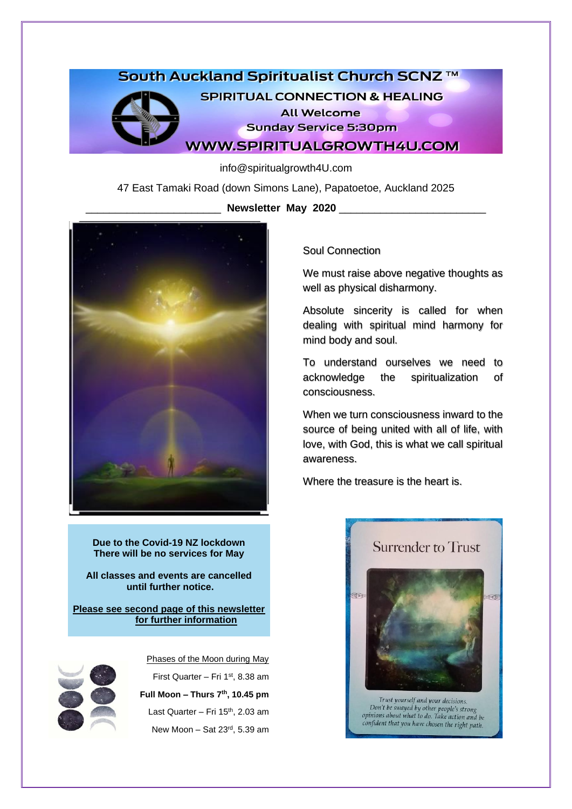# South Auckland Spiritualist Church SCNZ ™



**SPIRITUAL CONNECTION & HEALING All Welcome Sunday Service 5:30pm WWW.SPIRITUALGROWTH4U.COM** 

info@spiritualgrowth4U.com

47 East Tamaki Road (down Simons Lane), Papatoetoe, Auckland 2025

\_\_\_\_\_\_\_\_\_\_\_\_\_\_\_\_\_\_\_\_\_\_\_ **Newsletter May 2020** \_\_\_\_\_\_\_\_\_\_\_\_\_\_\_\_\_\_\_\_\_\_\_\_\_



**Due to the Covid-19 NZ lockdown There will be no services for May**

**All classes and events are cancelled until further notice.**

**Please see second page of this newsletter for further information**



Phases of the Moon during May First Quarter – Fri  $1<sup>st</sup>$ , 8.38 am **Full Moon – Thurs 7 th , 10.45 pm** Last Quarter – Fri 15<sup>th</sup>, 2.03 am New Moon - Sat 23<sup>rd</sup>, 5.39 am

Soul Connection

We must raise above negative thoughts as well as physical disharmony.

Absolute sincerity is called for when dealing with spiritual mind harmony for mind body and soul.

To understand ourselves we need to acknowledge the spiritualization of consciousness.

When we turn consciousness inward to the source of being united with all of life, with love, with God, this is what we call spiritual awareness.

Where the treasure is the heart is.

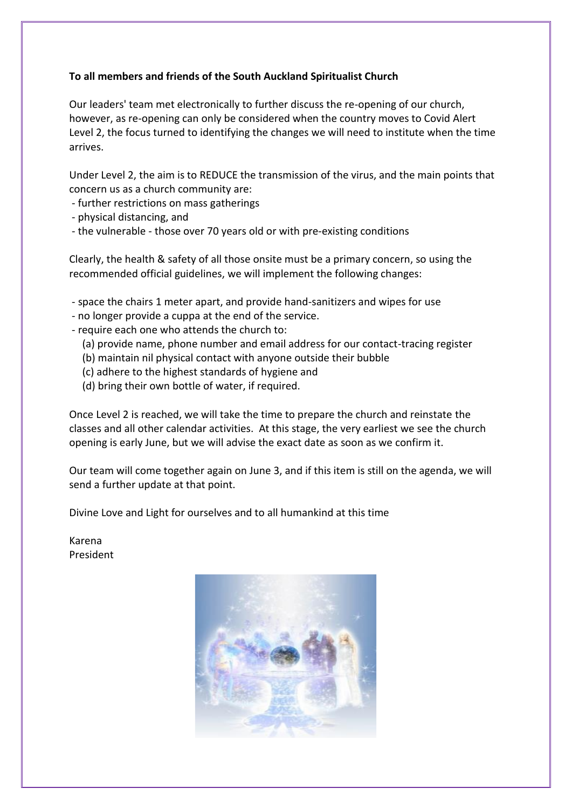# **To all members and friends of the South Auckland Spiritualist Church**

Our leaders' team met electronically to further discuss the re-opening of our church, however, as re-opening can only be considered when the country moves to Covid Alert Level 2, the focus turned to identifying the changes we will need to institute when the time arrives.

Under Level 2, the aim is to REDUCE the transmission of the virus, and the main points that concern us as a church community are:

- further restrictions on mass gatherings
- physical distancing, and
- the vulnerable those over 70 years old or with pre-existing conditions

Clearly, the health & safety of all those onsite must be a primary concern, so using the recommended official guidelines, we will implement the following changes:

- space the chairs 1 meter apart, and provide hand-sanitizers and wipes for use
- no longer provide a cuppa at the end of the service.
- require each one who attends the church to:
	- (a) provide name, phone number and email address for our contact-tracing register
	- (b) maintain nil physical contact with anyone outside their bubble
	- (c) adhere to the highest standards of hygiene and
	- (d) bring their own bottle of water, if required.

Once Level 2 is reached, we will take the time to prepare the church and reinstate the classes and all other calendar activities. At this stage, the very earliest we see the church opening is early June, but we will advise the exact date as soon as we confirm it.

Our team will come together again on June 3, and if this item is still on the agenda, we will send a further update at that point.

Divine Love and Light for ourselves and to all humankind at this time

Karena President

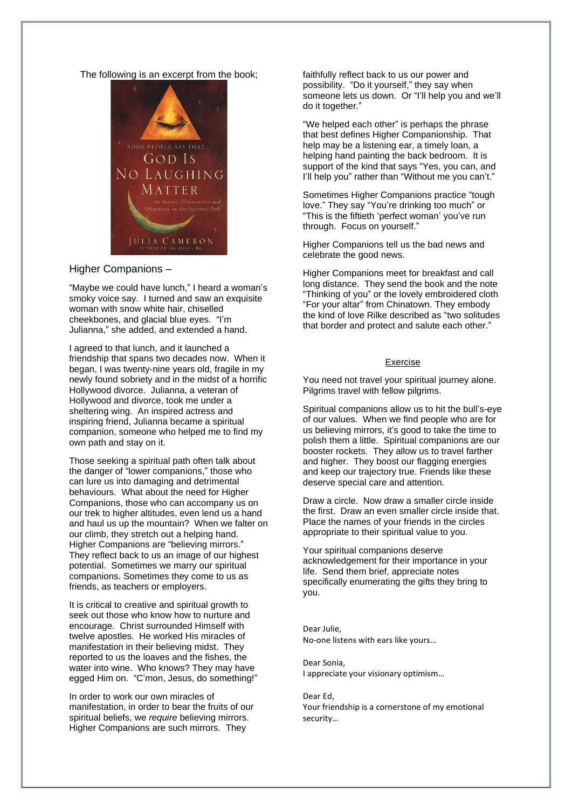#### The following is an excerpt from the book;



## Higher Companions –

"Maybe we could have lunch," I heard a woman's smoky voice say. I turned and saw an exquisite woman with snow white hair, chiselled cheekbones, and glacial blue eyes. "I'm Julianna," she added, and extended a hand.

I agreed to that lunch, and it launched a friendship that spans two decades now. When it began, I was twenty-nine years old, fragile in my newly found sobriety and in the midst of a horrific Hollywood divorce. Julianna, a veteran of Hollywood and divorce, took me under a sheltering wing. An inspired actress and inspiring friend, Julianna became a spiritual companion, someone who helped me to find my own path and stay on it.

Those seeking a spiritual path often talk about the danger of "lower companions," those who can lure us into damaging and detrimental behaviours. What about the need for Higher Companions, those who can accompany us on our trek to higher altitudes, even lend us a hand and haul us up the mountain? When we falter on our climb, they stretch out a helping hand. Higher Companions are "believing mirrors." They reflect back to us an image of our highest potential. Sometimes we marry our spiritual companions. Sometimes they come to us as friends, as teachers or employers.

It is critical to creative and spiritual growth to seek out those who know how to nurture and encourage. Christ surrounded Himself with twelve apostles. He worked His miracles of manifestation in their believing midst. They reported to us the loaves and the fishes, the water into wine. Who knows? They may have egged Him on. "C'mon, Jesus, do something!"

In order to work our own miracles of manifestation, in order to bear the fruits of our spiritual beliefs, we *require* believing mirrors. Higher Companions are such mirrors. They

faithfully reflect back to us our power and possibility. "Do it yourself," they say when someone lets us down. Or "I'll help you and we'll do it together."

"We helped each other" is perhaps the phrase that best defines Higher Companionship. That help may be a listening ear, a timely loan, a helping hand painting the back bedroom. It is support of the kind that says "Yes, you can, and I'll help you" rather than "Without me you can't."

Sometimes Higher Companions practice "tough love." They say "You're drinking too much" or "This is the fiftieth 'perfect woman' you've run through. Focus on yourself."

Higher Companions tell us the bad news and celebrate the good news.

Higher Companions meet for breakfast and call long distance. They send the book and the note "Thinking of you" or the lovely embroidered cloth "For your altar" from Chinatown. They embody the kind of love Rilke described as "two solitudes that border and protect and salute each other."

#### Exercise

You need not travel your spiritual journey alone. Pilgrims travel with fellow pilgrims.

Spiritual companions allow us to hit the bull's-eye of our values. When we find people who are for us believing mirrors, it's good to take the time to polish them a little. Spiritual companions are our booster rockets. They allow us to travel farther and higher. They boost our flagging energies and keep our trajectory true. Friends like these deserve special care and attention.

Draw a circle. Now draw a smaller circle inside the first. Draw an even smaller circle inside that. Place the names of your friends in the circles appropriate to their spiritual value to you.

Your spiritual companions deserve acknowledgement for their importance in your life. Send them brief, appreciate notes specifically enumerating the gifts they bring to you.

Dear Julie, No-one listens with ears like yours…

Dear Sonia, I appreciate your visionary optimism…

Dear Ed, Your friendship is a cornerstone of my emotional security…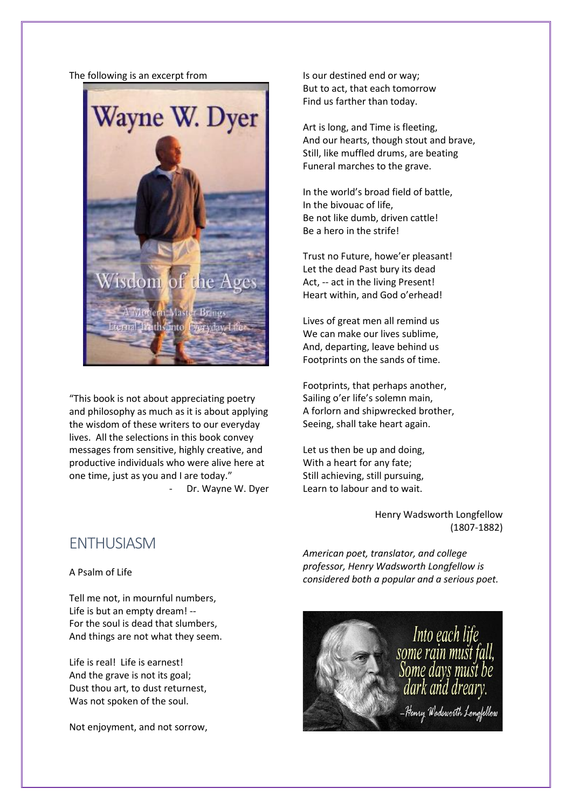#### The following is an excerpt from



"This book is not about appreciating poetry and philosophy as much as it is about applying the wisdom of these writers to our everyday lives. All the selections in this book convey messages from sensitive, highly creative, and productive individuals who were alive here at one time, just as you and I are today."

- Dr. Wayne W. Dyer

Is our destined end or way; But to act, that each tomorrow Find us farther than today.

Art is long, and Time is fleeting, And our hearts, though stout and brave, Still, like muffled drums, are beating Funeral marches to the grave.

In the world's broad field of battle, In the bivouac of life, Be not like dumb, driven cattle! Be a hero in the strife!

Trust no Future, howe'er pleasant! Let the dead Past bury its dead Act, -- act in the living Present! Heart within, and God o'erhead!

Lives of great men all remind us We can make our lives sublime. And, departing, leave behind us Footprints on the sands of time.

Footprints, that perhaps another, Sailing o'er life's solemn main, A forlorn and shipwrecked brother, Seeing, shall take heart again.

Let us then be up and doing, With a heart for any fate; Still achieving, still pursuing, Learn to labour and to wait.

> Henry Wadsworth Longfellow (1807-1882)

**ENTHUSIASM** 

A Psalm of Life

Tell me not, in mournful numbers, Life is but an empty dream! -- For the soul is dead that slumbers, And things are not what they seem.

Life is real! Life is earnest! And the grave is not its goal; Dust thou art, to dust returnest, Was not spoken of the soul.

Not enjoyment, and not sorrow,

*American poet, translator, and college professor, Henry Wadsworth Longfellow is considered both a popular and a serious poet.*

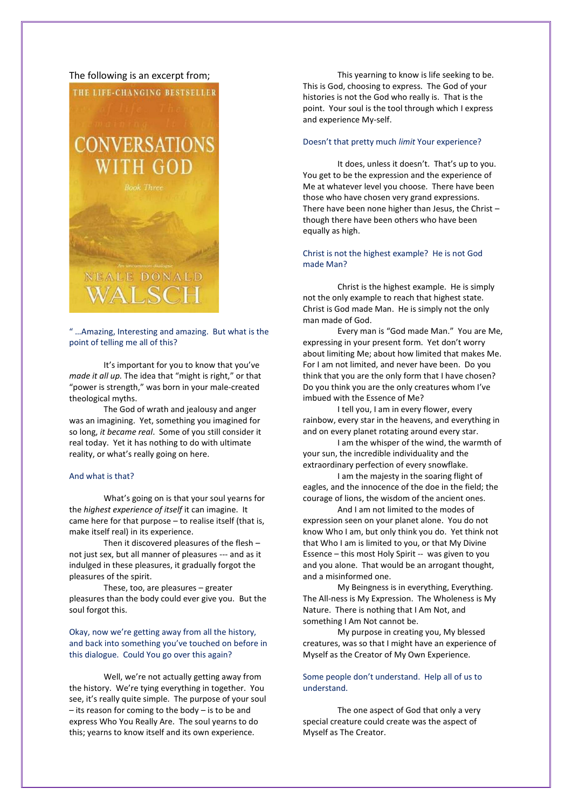#### The following is an excerpt from;



" …Amazing, Interesting and amazing. But what is the point of telling me all of this?

It's important for you to know that you've *made it all up.* The idea that "might is right," or that "power is strength," was born in your male-created theological myths.

The God of wrath and jealousy and anger was an imagining. Yet, something you imagined for so long, *it became real*. Some of you still consider it real today. Yet it has nothing to do with ultimate reality, or what's really going on here.

#### And what is that?

What's going on is that your soul yearns for the *highest experience of itself* it can imagine. It came here for that purpose – to realise itself (that is, make itself real) in its experience.

Then it discovered pleasures of the flesh – not just sex, but all manner of pleasures --- and as it indulged in these pleasures, it gradually forgot the pleasures of the spirit.

These, too, are pleasures – greater pleasures than the body could ever give you. But the soul forgot this.

Okay, now we're getting away from all the history, and back into something you've touched on before in this dialogue. Could You go over this again?

Well, we're not actually getting away from the history. We're tying everything in together. You see, it's really quite simple. The purpose of your soul – its reason for coming to the body – is to be and express Who You Really Are. The soul yearns to do this; yearns to know itself and its own experience.

This yearning to know is life seeking to be. This is God, choosing to express. The God of your histories is not the God who really is. That is the point. Your soul is the tool through which I express and experience My-self.

#### Doesn't that pretty much *limit* Your experience?

It does, unless it doesn't. That's up to you. You get to be the expression and the experience of Me at whatever level you choose. There have been those who have chosen very grand expressions. There have been none higher than Jesus, the Christ – though there have been others who have been equally as high.

#### Christ is not the highest example? He is not God made Man?

Christ is the highest example. He is simply not the only example to reach that highest state. Christ is God made Man. He is simply not the only man made of God.

Every man is "God made Man." You are Me, expressing in your present form. Yet don't worry about limiting Me; about how limited that makes Me. For I am not limited, and never have been. Do you think that you are the only form that I have chosen? Do you think you are the only creatures whom I've imbued with the Essence of Me?

I tell you, I am in every flower, every rainbow, every star in the heavens, and everything in and on every planet rotating around every star.

I am the whisper of the wind, the warmth of your sun, the incredible individuality and the extraordinary perfection of every snowflake.

I am the majesty in the soaring flight of eagles, and the innocence of the doe in the field; the courage of lions, the wisdom of the ancient ones.

And I am not limited to the modes of expression seen on your planet alone. You do not know Who I am, but only think you do. Yet think not that Who I am is limited to you, or that My Divine Essence – this most Holy Spirit -- was given to you and you alone. That would be an arrogant thought, and a misinformed one.

My Beingness is in everything, Everything. The All-ness is My Expression. The Wholeness is My Nature. There is nothing that I Am Not, and something I Am Not cannot be.

My purpose in creating you, My blessed creatures, was so that I might have an experience of Myself as the Creator of My Own Experience.

### Some people don't understand. Help all of us to understand.

The one aspect of God that only a very special creature could create was the aspect of Myself as The Creator.